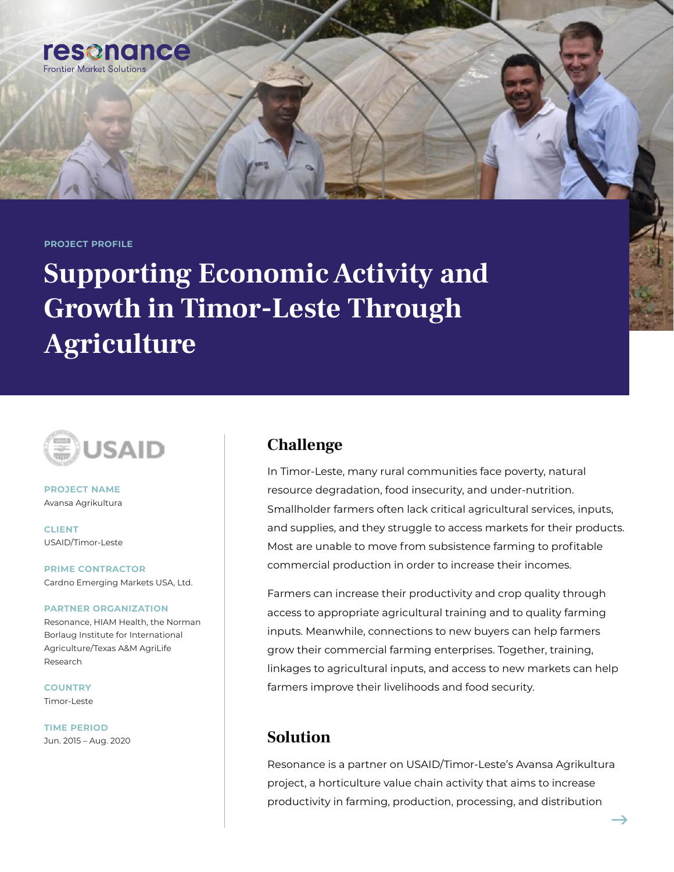**PROJECT PROFILE**

resonance

**Frontier Market Solution** 

# **Supporting Economic Activity and Growth in Timor-Leste Through Agriculture**



**PROJECT NAME** Avansa Agrikultura

**CLIENT** USAID/Timor-Leste

**PRIME CONTRACTOR** Cardno Emerging Markets USA, Ltd.

#### **PARTNER ORGANIZATION**

Resonance, HIAM Health, the Norman Borlaug Institute for International Agriculture/Texas A&M AgriLife Research

**COUNTRY** Timor-Leste

**TIME PERIOD** Jun. 2015 – Aug. 2020

#### **Challenge**

In Timor-Leste, many rural communities face poverty, natural resource degradation, food insecurity, and under-nutrition. Smallholder farmers often lack critical agricultural services, inputs, and supplies, and they struggle to access markets for their products. Most are unable to move from subsistence farming to profitable commercial production in order to increase their incomes.

Farmers can increase their productivity and crop quality through access to appropriate agricultural training and to quality farming inputs. Meanwhile, connections to new buyers can help farmers grow their commercial farming enterprises. Together, training, linkages to agricultural inputs, and access to new markets can help farmers improve their livelihoods and food security.

#### **Solution**

Resonance is a partner on USAID/Timor-Leste's Avansa Agrikultura project, a horticulture value chain activity that aims to increase productivity in farming, production, processing, and distribution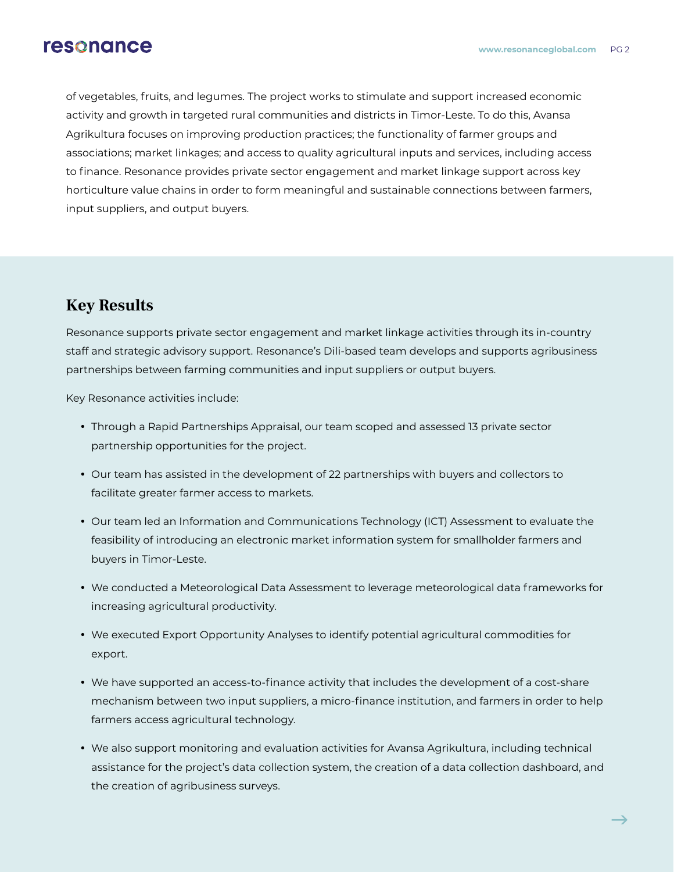### resonance

of vegetables, fruits, and legumes. The project works to stimulate and support increased economic activity and growth in targeted rural communities and districts in Timor-Leste. To do this, Avansa Agrikultura focuses on improving production practices; the functionality of farmer groups and associations; market linkages; and access to quality agricultural inputs and services, including access to finance. Resonance provides private sector engagement and market linkage support across key horticulture value chains in order to form meaningful and sustainable connections between farmers, input suppliers, and output buyers.

### **Key Results**

Resonance supports private sector engagement and market linkage activities through its in-country staff and strategic advisory support. Resonance's Dili-based team develops and supports agribusiness partnerships between farming communities and input suppliers or output buyers.

Key Resonance activities include:

- Through a Rapid Partnerships Appraisal, our team scoped and assessed 13 private sector partnership opportunities for the project.
- Our team has assisted in the development of 22 partnerships with buyers and collectors to facilitate greater farmer access to markets.
- Our team led an Information and Communications Technology (ICT) Assessment to evaluate the feasibility of introducing an electronic market information system for smallholder farmers and buyers in Timor-Leste.
- We conducted a Meteorological Data Assessment to leverage meteorological data frameworks for increasing agricultural productivity.
- We executed Export Opportunity Analyses to identify potential agricultural commodities for export.
- We have supported an access-to-finance activity that includes the development of a cost-share mechanism between two input suppliers, a micro-finance institution, and farmers in order to help farmers access agricultural technology.
- We also support monitoring and evaluation activities for Avansa Agrikultura, including technical assistance for the project's data collection system, the creation of a data collection dashboard, and the creation of agribusiness surveys.